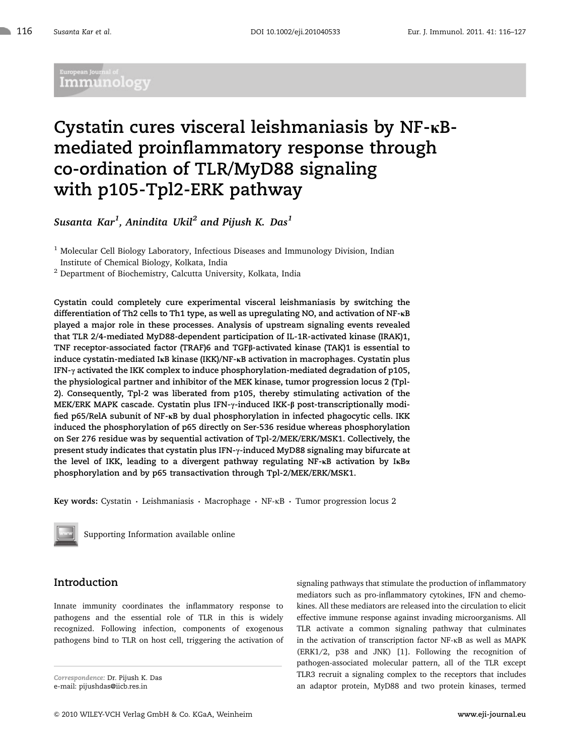## .<br>Suropean Journal of Immunology

# Cystatin cures visceral leishmaniasis by  $NF-\kappa B$ mediated proinflammatory response through co-ordination of TLR/MyD88 signaling with p105-Tpl2-ERK pathway

Susanta Kar $^1$ , Anindita Ukil $^2$  and Pijush K. Das $^1$ 

<sup>1</sup> Molecular Cell Biology Laboratory, Infectious Diseases and Immunology Division, Indian Institute of Chemical Biology, Kolkata, India

<sup>2</sup> Department of Biochemistry, Calcutta University, Kolkata, India

Cystatin could completely cure experimental visceral leishmaniasis by switching the differentiation of Th2 cells to Th1 type, as well as upregulating NO, and activation of  $NF$ - $\kappa$ B played a major role in these processes. Analysis of upstream signaling events revealed that TLR 2/4-mediated MyD88-dependent participation of IL-1R-activated kinase (IRAK)1, TNF receptor-associated factor (TRAF)6 and TGFß-activated kinase (TAK)1 is essential to induce cystatin-mediated I $\kappa$ B kinase (IKK)/NF- $\kappa$ B activation in macrophages. Cystatin plus IFN- $\gamma$  activated the IKK complex to induce phosphorylation-mediated degradation of p105, the physiological partner and inhibitor of the MEK kinase, tumor progression locus 2 (Tpl-2). Consequently, Tpl-2 was liberated from p105, thereby stimulating activation of the MEK/ERK MAPK cascade. Cystatin plus IFN- $\gamma$ -induced IKK- $\beta$  post-transcriptionally modified p65/RelA subunit of NF-KB by dual phosphorylation in infected phagocytic cells. IKK induced the phosphorylation of p65 directly on Ser-536 residue whereas phosphorylation on Ser 276 residue was by sequential activation of Tpl-2/MEK/ERK/MSK1. Collectively, the present study indicates that cystatin plus IFN- $\gamma$ -induced MyD88 signaling may bifurcate at the level of IKK, leading to a divergent pathway regulating NF- $\kappa$ B activation by I $\kappa$ B $\alpha$ phosphorylation and by p65 transactivation through Tpl-2/MEK/ERK/MSK1.

Key words: Cystatin  $\cdot$  Leishmaniasis  $\cdot$  Macrophage  $\cdot$  NF- $\kappa$ B  $\cdot$  Tumor progression locus 2



Supporting Information available online

## Introduction

Innate immunity coordinates the inflammatory response to pathogens and the essential role of TLR in this is widely recognized. Following infection, components of exogenous pathogens bind to TLR on host cell, triggering the activation of

Correspondence: Dr. Pijush K. Das e-mail: pijushdas@iicb.res.in

signaling pathways that stimulate the production of inflammatory mediators such as pro-inflammatory cytokines, IFN and chemokines. All these mediators are released into the circulation to elicit effective immune response against invading microorganisms. All TLR activate a common signaling pathway that culminates in the activation of transcription factor NF-kB as well as MAPK (ERK1/2, p38 and JNK) [1]. Following the recognition of pathogen-associated molecular pattern, all of the TLR except TLR3 recruit a signaling complex to the receptors that includes an adaptor protein, MyD88 and two protein kinases, termed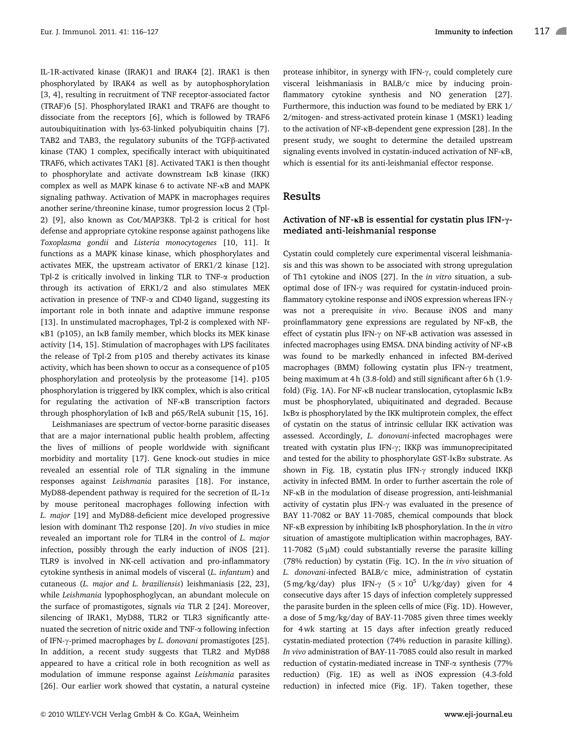IL-1R-activated kinase (IRAK)1 and IRAK4 [2]. IRAK1 is then phosphorylated by IRAK4 as well as by autophosphorylation [3, 4], resulting in recruitment of TNF receptor-associated factor (TRAF)6 [5]. Phosphorylated IRAK1 and TRAF6 are thought to dissociate from the receptors [6], which is followed by TRAF6 autoubiquitination with lys-63-linked polyubiquitin chains [7]. TAB2 and TAB3, the regulatory subunits of the TGFß-activated kinase (TAK) 1 complex, specifically interact with ubiquitinated TRAF6, which activates TAK1 [8]. Activated TAK1 is then thought to phosphorylate and activate downstream IkB kinase (IKK) complex as well as MAPK kinase 6 to activate NF-kB and MAPK signaling pathway. Activation of MAPK in macrophages requires another serine/threonine kinase, tumor progression locus 2 (Tpl-2) [9], also known as Cot/MAP3K8. Tpl-2 is critical for host defense and appropriate cytokine response against pathogens like Toxoplasma gondii and Listeria monocytogenes [10, 11]. It functions as a MAPK kinase kinase, which phosphorylates and activates MEK, the upstream activator of ERK1/2 kinase [12]. Tpl-2 is critically involved in linking TLR to TNF- $\alpha$  production through its activation of ERK1/2 and also stimulates MEK activation in presence of TNF- $\alpha$  and CD40 ligand, suggesting its important role in both innate and adaptive immune response [13]. In unstimulated macrophages, Tpl-2 is complexed with NFkB1 (p105), an IkB family member, which blocks its MEK kinase activity [14, 15]. Stimulation of macrophages with LPS facilitates the release of Tpl-2 from p105 and thereby activates its kinase activity, which has been shown to occur as a consequence of p105 phosphorylation and proteolysis by the proteasome [14]. p105 phosphorylation is triggered by IKK complex, which is also critical for regulating the activation of NF-kB transcription factors through phosphorylation of IkB and p65/RelA subunit [15, 16].

Leishmaniases are spectrum of vector-borne parasitic diseases that are a major international public health problem, affecting the lives of millions of people worldwide with significant morbidity and mortality [17]. Gene knock-out studies in mice revealed an essential role of TLR signaling in the immune responses against Leishmania parasites [18]. For instance, MyD88-dependent pathway is required for the secretion of IL-1 $\alpha$ by mouse peritoneal macrophages following infection with L. major [19] and MyD88-deficient mice developed progressive lesion with dominant Th2 response [20]. In vivo studies in mice revealed an important role for TLR4 in the control of L. major infection, possibly through the early induction of iNOS [21]. TLR9 is involved in NK-cell activation and pro-inflammatory cytokine synthesis in animal models of visceral (L. infantum) and cutaneous (L. major and L. braziliensis) leishmaniasis [22, 23], while Leishmania lypophosphoglycan, an abundant molecule on the surface of promastigotes, signals via TLR 2 [24]. Moreover, silencing of IRAK1, MyD88, TLR2 or TLR3 significantly attenuated the secretion of nitric oxide and  $TNF-\alpha$  following infection of IFN- $\gamma$ -primed macrophages by *L. donovani* promastigotes [25]. In addition, a recent study suggests that TLR2 and MyD88 appeared to have a critical role in both recognition as well as modulation of immune response against Leishmania parasites [26]. Our earlier work showed that cystatin, a natural cysteine

protease inhibitor, in synergy with IFN- $\gamma$ , could completely cure visceral leishmaniasis in BALB/c mice by inducing proinflammatory cytokine synthesis and NO generation [27]. Furthermore, this induction was found to be mediated by ERK 1/ 2/mitogen- and stress-activated protein kinase 1 (MSK1) leading to the activation of NF-kB-dependent gene expression [28]. In the present study, we sought to determine the detailed upstream signaling events involved in cystatin-induced activation of NF-kB, which is essential for its anti-leishmanial effector response.

## Results

## Activation of NF- $\kappa$ B is essential for cystatin plus IFN- $\gamma$ mediated anti-leishmanial response

Cystatin could completely cure experimental visceral leishmaniasis and this was shown to be associated with strong upregulation of Th1 cytokine and iNOS [27]. In the in vitro situation, a suboptimal dose of IFN- $\gamma$  was required for cystatin-induced proinflammatory cytokine response and iNOS expression whereas IFN- $\gamma$ was not a prerequisite in vivo. Because iNOS and many proinflammatory gene expressions are regulated by NF-kB, the effect of cystatin plus IFN- $\gamma$  on NF- $\kappa$ B activation was assessed in infected macrophages using EMSA. DNA binding activity of NF-kB was found to be markedly enhanced in infected BM-derived macrophages (BMM) following cystatin plus IFN- $\gamma$  treatment, being maximum at 4 h (3.8-fold) and still significant after 6 h (1.9 fold) (Fig. 1A). For NF-kB nuclear translocation, cytoplasmic IkBa must be phosphorylated, ubiquitinated and degraded. Because IkBa is phosphorylated by the IKK multiprotein complex, the effect of cystatin on the status of intrinsic cellular IKK activation was assessed. Accordingly, L. donovani-infected macrophages were treated with cystatin plus IFN- $\gamma$ ; IKK $\beta$  was immunoprecipitated and tested for the ability to phosphorylate GST-IKBa substrate. As shown in Fig. 1B, cystatin plus IFN- $\gamma$  strongly induced IKK $\beta$ activity in infected BMM. In order to further ascertain the role of NF-kB in the modulation of disease progression, anti-leishmanial activity of cystatin plus IFN- $\gamma$  was evaluated in the presence of BAY 11-7082 or BAY 11-7085, chemical compounds that block NF-KB expression by inhibiting IKB phosphorylation. In the in vitro situation of amastigote multiplication within macrophages, BAY-11-7082 ( $5 \mu$ M) could substantially reverse the parasite killing (78% reduction) by cystatin (Fig. 1C). In the in vivo situation of L. donovani-infected BALB/c mice, administration of cystatin  $(5 \text{ mg/kg/day})$  plus IFN- $\gamma$   $(5 \times 10^5 \text{ U/kg/day})$  given for 4 consecutive days after 15 days of infection completely suppressed the parasite burden in the spleen cells of mice (Fig. 1D). However, a dose of 5 mg/kg/day of BAY-11-7085 given three times weekly for 4 wk starting at 15 days after infection greatly reduced cystatin-mediated protection (74% reduction in parasite killing). In vivo administration of BAY-11-7085 could also result in marked reduction of cystatin-mediated increase in TNF-a synthesis (77% reduction) (Fig. 1E) as well as iNOS expression (4.3-fold reduction) in infected mice (Fig. 1F). Taken together, these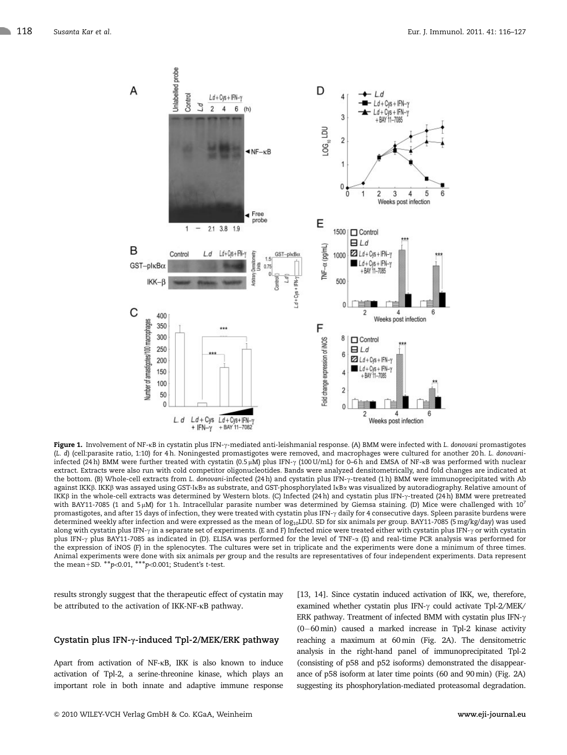

Figure 1. Involvement of NF-KB in cystatin plus IFN-y-mediated anti-leishmanial response. (A) BMM were infected with L. donovani promastigotes (L. d) (cell:parasite ratio, 1:10) for 4 h. Noningested promastigotes were removed, and macrophages were cultured for another 20 h. L. donovaniinfected (24 h) BMM were further treated with cystatin (0.5 µM) plus IFN- $\gamma$  (100 U/mL) for 0–6 h and EMSA of NF-kB was performed with nuclear extract. Extracts were also run with cold competitor oligonucleotides. Bands were analyzed densitometrically, and fold changes are indicated at the bottom. (B) Whole-cell extracts from L. donovani-infected (24 h) and cystatin plus IFN-g-treated (1 h) BMM were immunoprecipitated with Ab against IKKß. IKKß was assayed using GST-IkBa as substrate, and GST-phosphorylated IkBa was visualized by autoradiography. Relative amount of IKKß in the whole-cell extracts was determined by Western blots. (C) Infected (24 h) and cystatin plus IFN- $\gamma$ -treated (24 h) BMM were pretreated with BAY11-7085 (1 and 5 $\mu$ M) for 1 h. Intracellular parasite number was determined by Giemsa staining. (D) Mice were challenged with 10<sup>7</sup> promastigotes, and after 15 days of infection, they were treated with cystatin plus IFN-y daily for 4 consecutive days. Spleen parasite burdens were determined weekly after infection and were expressed as the mean of  $log_{10}$ LDU. SD for six animals per group. BAY11-7085 (5 mg/kg/day) was used along with cystatin plus IFN- $\gamma$  in a separate set of experiments. (E and F) Infected mice were treated either with cystatin plus IFN- $\gamma$  or with cystatin plus IFN-g plus BAY11-7085 as indicated in (D). ELISA was performed for the level of TNF-a (E) and real-time PCR analysis was performed for the expression of iNOS (F) in the splenocytes. The cultures were set in triplicate and the experiments were done a minimum of three times. Animal experiments were done with six animals per group and the results are representatives of four independent experiments. Data represent the mean+SD.  $^{**}p<0.01$ ,  $^{***}p<0.001$ ; Student's t-test.

results strongly suggest that the therapeutic effect of cystatin may be attributed to the activation of IKK-NF-kB pathway.

## Cystatin plus IFN- $\gamma$ -induced Tpl-2/MEK/ERK pathway

Apart from activation of NF-kB, IKK is also known to induce activation of Tpl-2, a serine-threonine kinase, which plays an important role in both innate and adaptive immune response [13, 14]. Since cystatin induced activation of IKK, we, therefore, examined whether cystatin plus IFN- $\gamma$  could activate Tpl-2/MEK/ ERK pathway. Treatment of infected BMM with cystatin plus IFN- $\gamma$  $(0-60 \text{ min})$  caused a marked increase in Tpl-2 kinase activity reaching a maximum at 60 min (Fig. 2A). The densitometric analysis in the right-hand panel of immunoprecipitated Tpl-2 (consisting of p58 and p52 isoforms) demonstrated the disappearance of p58 isoform at later time points (60 and 90 min) (Fig. 2A) suggesting its phosphorylation-mediated proteasomal degradation.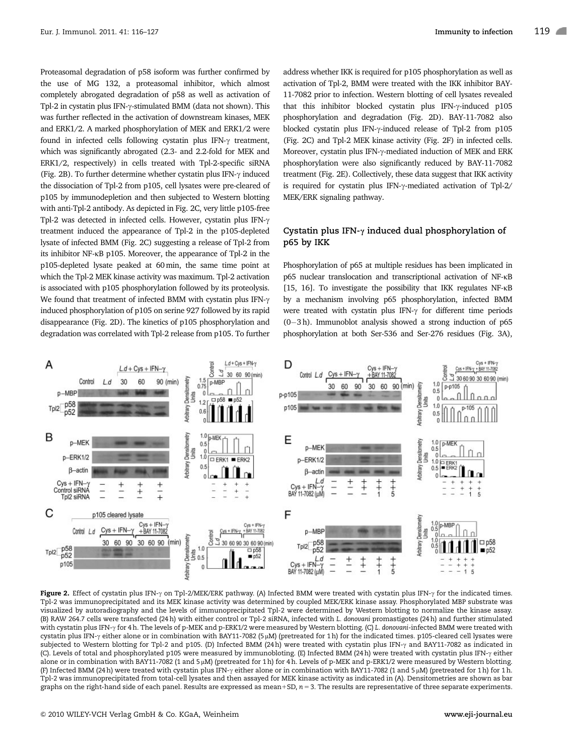Proteasomal degradation of p58 isoform was further confirmed by the use of MG 132, a proteasomal inhibitor, which almost completely abrogated degradation of p58 as well as activation of Tpl-2 in cystatin plus IFN- $\gamma$ -stimulated BMM (data not shown). This was further reflected in the activation of downstream kinases, MEK and ERK1/2. A marked phosphorylation of MEK and ERK1/2 were found in infected cells following cystatin plus IFN- $\gamma$  treatment, which was significantly abrogated (2.3- and 2.2-fold for MEK and ERK1/2, respectively) in cells treated with Tpl-2-specific siRNA (Fig. 2B). To further determine whether cystatin plus IFN- $\gamma$  induced the dissociation of Tpl-2 from p105, cell lysates were pre-cleared of p105 by immunodepletion and then subjected to Western blotting with anti-Tpl-2 antibody. As depicted in Fig. 2C, very little p105-free Tpl-2 was detected in infected cells. However, cystatin plus IFN- $\gamma$ treatment induced the appearance of Tpl-2 in the p105-depleted lysate of infected BMM (Fig. 2C) suggesting a release of Tpl-2 from its inhibitor NF-kB p105. Moreover, the appearance of Tpl-2 in the p105-depleted lysate peaked at 60 min, the same time point at which the Tpl-2 MEK kinase activity was maximum. Tpl-2 activation is associated with p105 phosphorylation followed by its proteolysis. We found that treatment of infected BMM with cystatin plus IFN- $\gamma$ induced phosphorylation of p105 on serine 927 followed by its rapid disappearance (Fig. 2D). The kinetics of p105 phosphorylation and degradation was correlated with Tpl-2 release from p105. To further

address whether IKK is required for p105 phosphorylation as well as activation of Tpl-2, BMM were treated with the IKK inhibitor BAY-11-7082 prior to infection. Western blotting of cell lysates revealed that this inhibitor blocked cystatin plus IFN- $\gamma$ -induced p105 phosphorylation and degradation (Fig. 2D). BAY-11-7082 also blocked cystatin plus IFN-g-induced release of Tpl-2 from p105 (Fig. 2C) and Tpl-2 MEK kinase activity (Fig. 2F) in infected cells. Moreover, cystatin plus IFN-y-mediated induction of MEK and ERK phosphorylation were also significantly reduced by BAY-11-7082 treatment (Fig. 2E). Collectively, these data suggest that IKK activity is required for cystatin plus IFN- $\gamma$ -mediated activation of Tpl-2/ MEK/ERK signaling pathway.

## Cystatin plus IFN- $\gamma$  induced dual phosphorylation of p65 by IKK

Phosphorylation of p65 at multiple residues has been implicated in p65 nuclear translocation and transcriptional activation of NF-kB [15, 16]. To investigate the possibility that IKK regulates NF-kB by a mechanism involving p65 phosphorylation, infected BMM were treated with cystatin plus IFN- $\gamma$  for different time periods  $(0-3 h)$ . Immunoblot analysis showed a strong induction of p65 phosphorylation at both Ser-536 and Ser-276 residues (Fig. 3A),



Figure 2. Effect of cystatin plus IFN- $\gamma$  on Tpl-2/MEK/ERK pathway. (A) Infected BMM were treated with cystatin plus IFN- $\gamma$  for the indicated times. Tpl-2 was immunoprecipitated and its MEK kinase activity was determined by coupled MEK/ERK kinase assay. Phosphorylated MBP substrate was visualized by autoradiography and the levels of immunoprecipitated Tpl-2 were determined by Western blotting to normalize the kinase assay. (B) RAW 264.7 cells were transfected (24 h) with either control or Tpl-2 siRNA, infected with L. donovani promastigotes (24 h) and further stimulated with cystatin plus IFN- $\gamma$  for 4 h. The levels of p-MEK and p-ERK1/2 were measured by Western blotting. (C) L. donovani-infected BMM were treated with cystatin plus IFN- $\gamma$  either alone or in combination with BAY11-7082 (5 µM) (pretreated for 1 h) for the indicated times. p105-cleared cell lysates were subjected to Western blotting for Tpl-2 and p105. (D) Infected BMM (24h) were treated with cystatin plus IFN-y and BAY11-7082 as indicated in (C). Levels of total and phosphorylated p105 were measured by immunobloting. (E) Infected BMM (24 h) were treated with cystatin plus IFN-g either alone or in combination with BAY11-7082 (1 and 5  $\mu$ M) (pretreated for 1 h) for 4 h. Levels of p-MEK and p-ERK1/2 were measured by Western blotting. (F) Infected BMM (24 h) were treated with cystatin plus IFN-y either alone or in combination with BAY11-7082 (1 and 5 µM) (pretreated for 1 h) for 1 h. Tpl-2 was immunoprecipitated from total-cell lysates and then assayed for MEK kinase activity as indicated in (A). Densitometries are shown as bar graphs on the right-hand side of each panel. Results are expressed as mean+SD,  $n = 3$ . The results are representative of three separate experiments.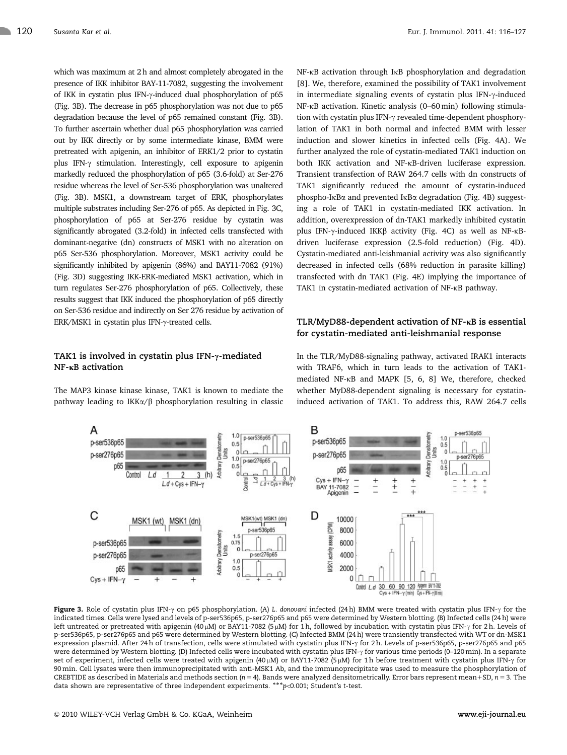which was maximum at 2 h and almost completely abrogated in the presence of IKK inhibitor BAY-11-7082, suggesting the involvement of IKK in cystatin plus IFN-g-induced dual phosphorylation of p65 (Fig. 3B). The decrease in p65 phosphorylation was not due to p65 degradation because the level of p65 remained constant (Fig. 3B). To further ascertain whether dual p65 phosphorylation was carried out by IKK directly or by some intermediate kinase, BMM were pretreated with apigenin, an inhibitor of ERK1/2 prior to cystatin plus IFN- $\gamma$  stimulation. Interestingly, cell exposure to apigenin markedly reduced the phosphorylation of p65 (3.6-fold) at Ser-276 residue whereas the level of Ser-536 phosphorylation was unaltered (Fig. 3B). MSK1, a downstream target of ERK, phosphorylates multiple substrates including Ser-276 of p65. As depicted in Fig. 3C, phosphorylation of p65 at Ser-276 residue by cystatin was significantly abrogated (3.2-fold) in infected cells transfected with dominant-negative (dn) constructs of MSK1 with no alteration on p65 Ser-536 phosphorylation. Moreover, MSK1 activity could be significantly inhibited by apigenin (86%) and BAY11-7082 (91%) (Fig. 3D) suggesting IKK-ERK-mediated MSK1 activation, which in turn regulates Ser-276 phosphorylation of p65. Collectively, these results suggest that IKK induced the phosphorylation of p65 directly on Ser-536 residue and indirectly on Ser 276 residue by activation of ERK/MSK1 in cystatin plus IFN-g-treated cells.

## TAK1 is involved in cystatin plus IFN- $\gamma$ -mediated  $NF-\kappa B$  activation

The MAP3 kinase kinase kinase, TAK1 is known to mediate the pathway leading to IKK $\alpha$ / $\beta$  phosphorylation resulting in classic NF-kB activation through IkB phosphorylation and degradation [8]. We, therefore, examined the possibility of TAK1 involvement in intermediate signaling events of cystatin plus IFN- $\gamma$ -induced NF-kB activation. Kinetic analysis (0–60 min) following stimulation with cystatin plus IFN- $\gamma$  revealed time-dependent phosphorylation of TAK1 in both normal and infected BMM with lesser induction and slower kinetics in infected cells (Fig. 4A). We further analyzed the role of cystatin-mediated TAK1 induction on both IKK activation and NF-kB-driven luciferase expression. Transient transfection of RAW 264.7 cells with dn constructs of TAK1 significantly reduced the amount of cystatin-induced phospho-IkBa and prevented IkBa degradation (Fig. 4B) suggesting a role of TAK1 in cystatin-mediated IKK activation. In addition, overexpression of dn-TAK1 markedly inhibited cystatin plus IFN- $\gamma$ -induced IKK $\beta$  activity (Fig. 4C) as well as NF- $\kappa$ Bdriven luciferase expression (2.5-fold reduction) (Fig. 4D). Cystatin-mediated anti-leishmanial activity was also significantly decreased in infected cells (68% reduction in parasite killing) transfected with dn TAK1 (Fig. 4E) implying the importance of TAK1 in cystatin-mediated activation of NF- $\kappa$ B pathway.

## TLR/MyD88-dependent activation of  $NF$ - $\kappa$ B is essential for cystatin-mediated anti-leishmanial response

In the TLR/MyD88-signaling pathway, activated IRAK1 interacts with TRAF6, which in turn leads to the activation of TAK1 mediated NF-kB and MAPK [5, 6, 8] We, therefore, checked whether MyD88-dependent signaling is necessary for cystatininduced activation of TAK1. To address this, RAW 264.7 cells



Figure 3. Role of cystatin plus IFN- $\gamma$  on p65 phosphorylation. (A) L. donovani infected (24 h) BMM were treated with cystatin plus IFN- $\gamma$  for the indicated times. Cells were lysed and levels of p-ser536p65, p-ser276p65 and p65 were determined by Western blotting. (B) Infected cells (24 h) were left untreated or pretreated with apigenin (40µM) or BAY11-7082 (5µM) for 1h, followed by incubation with cystatin plus IFN- $\gamma$  for 2 h. Levels of p-ser536p65, p-ser276p65 and p65 were determined by Western blotting. (C) Infected BMM (24 h) were transiently transfected with WT or dn-MSK1 expression plasmid. After 24 h of transfection, cells were stimulated with cystatin plus IFN- $\gamma$  for 2 h. Levels of p-ser536p65, p-ser276p65 and p65 were determined by Western blotting. (D) Infected cells were incubated with cystatin plus IFN- $\gamma$  for various time periods (0-120 min). In a separate set of experiment, infected cells were treated with apigenin (40µM) or BAY11-7082 (5µM) for 1h before treatment with cystatin plus IFN- $\gamma$  for 90 min. Cell lysates were then immunoprecipitated with anti-MSK1 Ab, and the immunoprecipitate was used to measure the phosphorylation of CREBTIDE as described in Materials and methods section ( $n = 4$ ). Bands were analyzed densitometrically. Error bars represent mean+SD,  $n = 3$ . The data shown are representative of three independent experiments. \*\*\*p<0.001; Student's t-test.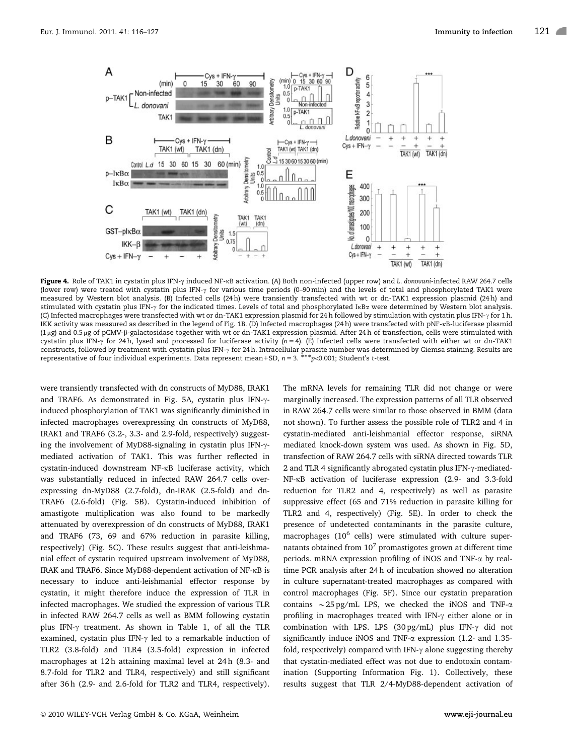

Figure 4. Role of TAK1 in cystatin plus IFN-y induced NF-kB activation. (A) Both non-infected (upper row) and L. donovani-infected RAW 264.7 cells (lower row) were treated with cystatin plus IFN-g for various time periods (0–90 min) and the levels of total and phosphorylated TAK1 were measured by Western blot analysis. (B) Infected cells (24 h) were transiently transfected with wt or dn-TAK1 expression plasmid (24 h) and stimulated with cystatin plus IFN- $\gamma$  for the indicated times. Levels of total and phosphorylated IkBa were determined by Western blot analysis. (C) Infected macrophages were transfected with wt or dn-TAK1 expression plasmid for 24 h followed by stimulation with cystatin plus IFN-g for 1 h. IKK activity was measured as described in the legend of Fig. 1B. (D) Infected macrophages (24 h) were transfected with pNF-kB-luciferase plasmid (1 mg) and 0.5 mg of pCMV-b-galactosidase together with wt or dn-TAK1 expression plasmid. After 24 h of transfection, cells were stimulated with cystatin plus IFN- $\gamma$  for 24 h, lysed and processed for luciferase activity (n = 4). (E) Infected cells were transfected with either wt or dn-TAK1 constructs, followed by treatment with cystatin plus IFN- $\gamma$  for 24 h. Intracellular parasite number was determined by Giemsa staining. Results are representative of four individual experiments. Data represent mean+SD,  $n = 3.***p<0.001$ ; Student's t-test.

were transiently transfected with dn constructs of MyD88, IRAK1 and TRAF6. As demonstrated in Fig. 5A, cystatin plus IFN- $\gamma$ induced phosphorylation of TAK1 was significantly diminished in infected macrophages overexpressing dn constructs of MyD88, IRAK1 and TRAF6 (3.2-, 3.3- and 2.9-fold, respectively) suggesting the involvement of MyD88-signaling in cystatin plus IFN- $\gamma$ mediated activation of TAK1. This was further reflected in cystatin-induced downstream NF-kB luciferase activity, which was substantially reduced in infected RAW 264.7 cells overexpressing dn-MyD88 (2.7-fold), dn-IRAK (2.5-fold) and dn-TRAF6 (2.6-fold) (Fig. 5B). Cystatin-induced inhibition of amastigote multiplication was also found to be markedly attenuated by overexpression of dn constructs of MyD88, IRAK1 and TRAF6 (73, 69 and 67% reduction in parasite killing, respectively) (Fig. 5C). These results suggest that anti-leishmanial effect of cystatin required upstream involvement of MyD88, IRAK and TRAF6. Since MyD88-dependent activation of NF-kB is necessary to induce anti-leishmanial effector response by cystatin, it might therefore induce the expression of TLR in infected macrophages. We studied the expression of various TLR in infected RAW 264.7 cells as well as BMM following cystatin plus IFN- $\gamma$  treatment. As shown in Table 1, of all the TLR examined, cystatin plus IFN- $\gamma$  led to a remarkable induction of TLR2 (3.8-fold) and TLR4 (3.5-fold) expression in infected macrophages at 12h attaining maximal level at 24h (8.3- and 8.7-fold for TLR2 and TLR4, respectively) and still significant after 36 h (2.9- and 2.6-fold for TLR2 and TLR4, respectively). The mRNA levels for remaining TLR did not change or were marginally increased. The expression patterns of all TLR observed in RAW 264.7 cells were similar to those observed in BMM (data not shown). To further assess the possible role of TLR2 and 4 in cystatin-mediated anti-leishmanial effector response, siRNA mediated knock-down system was used. As shown in Fig. 5D, transfection of RAW 264.7 cells with siRNA directed towards TLR 2 and TLR 4 significantly abrogated cystatin plus IFN- $\gamma$ -mediated-NF-kB activation of luciferase expression (2.9- and 3.3-fold reduction for TLR2 and 4, respectively) as well as parasite suppressive effect (65 and 71% reduction in parasite killing for TLR2 and 4, respectively) (Fig. 5E). In order to check the presence of undetected contaminants in the parasite culture, macrophages (10<sup>6</sup> cells) were stimulated with culture supernatants obtained from  $10^7$  promastigotes grown at different time periods. mRNA expression profiling of iNOS and TNF-a by realtime PCR analysis after 24 h of incubation showed no alteration in culture supernatant-treated macrophages as compared with control macrophages (Fig. 5F). Since our cystatin preparation contains  $\sim$  25 pg/mL LPS, we checked the iNOS and TNF- $\alpha$ profiling in macrophages treated with IFN- $\gamma$  either alone or in combination with LPS. LPS (30 pg/mL) plus IFN- $\gamma$  did not significantly induce iNOS and TNF-a expression (1.2- and 1.35 fold, respectively) compared with  $IFN-\gamma$  alone suggesting thereby that cystatin-mediated effect was not due to endotoxin contamination (Supporting Information Fig. 1). Collectively, these results suggest that TLR 2/4-MyD88-dependent activation of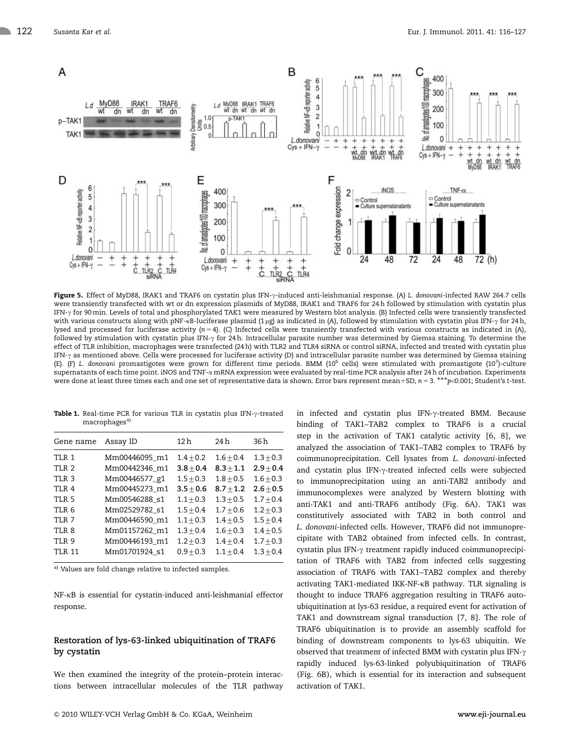

Figure 5. Effect of MyD88, IRAK1 and TRAF6 on cystatin plus IFN-y-induced anti-leishmanial response. (A) L. donovani-infected RAW 264.7 cells were transiently transfected with wt or dn expression plasmids of MyD88, IRAK1 and TRAF6 for 24 h followed by stimulation with cystatin plus IFN-g for 90min. Levels of total and phosphorylated TAK1 were measured by Western blot analysis. (B) Infected cells were transiently transfected with various constructs along with pNF-kB-luciferase plasmid (1 µg) as indicated in (A), followed by stimulation with cystatin plus IFN- $\gamma$  for 24 h, lysed and processed for luciferase activity ( $n = 4$ ). (C) Infected cells were transiently transfected with various constructs as indicated in (A), followed by stimulation with cystatin plus IFN- $\gamma$  for 24 h. Intracellular parasite number was determined by Giemsa staining. To determine the effect of TLR inhibition, macrophages were transfected (24 h) with TLR2 and TLR4 siRNA or control siRNA, infected and treated with cystatin plus IFN- $\gamma$  as mentioned above. Cells were processed for luciferase activity (D) and intracellular parasite number was determined by Giemsa staining (E). (F) L. donovani promastigotes were grown for different time periods. BMM (10<sup>6</sup> cells) were stimulated with promastigote (10<sup>7</sup>)-culture supernatants of each time point. iNOS and TNF-a mRNA expression were evaluated by real-time PCR analysis after 24 h of incubation. Experiments were done at least three times each and one set of representative data is shown. Error bars represent mean+SD, n = 3. \*\*\*p<0.001; Student's t-test.

Table 1. Real-time PCR for various TLR in cystatin plus IFN- $\gamma$ -treated macrophages<sup>a)</sup>

| Gene name        | Assay ID      | 12 h          | 24 h        | 36 h        |
|------------------|---------------|---------------|-------------|-------------|
| TLR 1            | Mm00446095 m1 | $1.4 + 0.2$   | $1.6 + 0.4$ | $1.3 + 0.3$ |
| TLR <sub>2</sub> | Mm00442346 m1 | $3.8 + 0.4$   | $8.3 + 1.1$ | $2.9 + 0.4$ |
| TLR <sub>3</sub> | Mm00446577_g1 | $1.5 + 0.3$   | $1.8 + 0.5$ | $1.6 + 0.3$ |
| <b>TI.R 4</b>    | Mm00445273 m1 | $3.5 + 0.6$   | $8.7 + 1.2$ | $2.6 + 0.5$ |
| <b>TI.R 5</b>    | Mm00546288 s1 | $1.1 + 0.3$   | $1.3 + 0.5$ | $1.7 + 0.4$ |
| TI.R 6           | Mm02529782 s1 | $1.5 \pm 0.4$ | $1.7 + 0.6$ | $1.2 + 0.3$ |
| TLR 7            | Mm00446590 m1 | $1.1 + 0.3$   | $1.4 + 0.5$ | $1.5 + 0.4$ |
| TLR 8            | Mm01157262 m1 | $1.3 + 0.4$   | $1.6 + 0.3$ | $1.4 + 0.5$ |
| TLR 9            | Mm00446193 m1 | $1.2 + 0.3$   | $1.4 + 0.4$ | $1.7 + 0.3$ |
| <b>TLR 11</b>    | Mm01701924 s1 | $0.9 + 0.3$   | $1.1 + 0.4$ | $1.3 + 0.4$ |
|                  |               |               |             |             |

a) Values are fold change relative to infected samples.

NF-kB is essential for cystatin-induced anti-leishmanial effector response.

## Restoration of lys-63-linked ubiquitination of TRAF6 by cystatin

We then examined the integrity of the protein–protein interactions between intracellular molecules of the TLR pathway in infected and cystatin plus IFN- $\gamma$ -treated BMM. Because binding of TAK1–TAB2 complex to TRAF6 is a crucial step in the activation of TAK1 catalytic activity [6, 8], we analyzed the association of TAK1–TAB2 complex to TRAF6 by coimmunoprecipitation. Cell lysates from L. donovani-infected and cystatin plus IFN-y-treated infected cells were subjected to immunoprecipitation using an anti-TAB2 antibody and immunocomplexes were analyzed by Western blotting with anti-TAK1 and anti-TRAF6 antibody (Fig. 6A). TAK1 was constitutively associated with TAB2 in both control and L. donovani-infected cells. However, TRAF6 did not immunoprecipitate with TAB2 obtained from infected cells. In contrast, cystatin plus IFN-g treatment rapidly induced coimmunoprecipitation of TRAF6 with TAB2 from infected cells suggesting association of TRAF6 with TAK1–TAB2 complex and thereby activating TAK1-mediated IKK-NF-kB pathway. TLR signaling is thought to induce TRAF6 aggregation resulting in TRAF6 autoubiquitination at lys-63 residue, a required event for activation of TAK1 and downstream signal transduction [7, 8]. The role of TRAF6 ubiquitination is to provide an assembly scaffold for binding of downstream components to lys-63 ubiquitin. We observed that treatment of infected BMM with cystatin plus IFN-g rapidly induced lys-63-linked polyubiquitination of TRAF6 (Fig. 6B), which is essential for its interaction and subsequent activation of TAK1.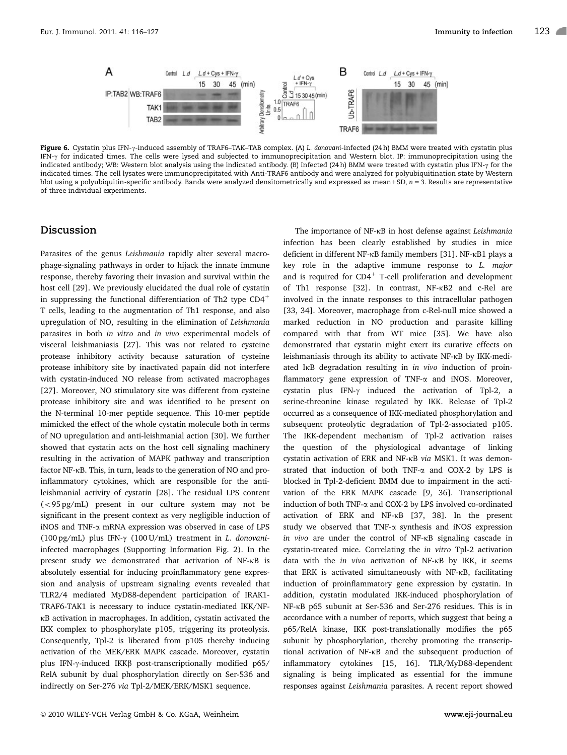

Figure 6. Cystatin plus IFN-y-induced assembly of TRAF6–TAK–TAB complex. (A) L. donovani-infected (24 h) BMM were treated with cystatin plus IFN-g for indicated times. The cells were lysed and subjected to immunoprecipitation and Western blot. IP: immunoprecipitation using the indicated antibody; WB: Western blot analysis using the indicated antibody. (B) Infected (24 h) BMM were treated with cystatin plus IFN- $\gamma$  for the indicated times. The cell lysates were immunoprecipitated with Anti-TRAF6 antibody and were analyzed for polyubiquitination state by Western blot using a polyubiquitin-specific antibody. Bands were analyzed densitometrically and expressed as mean+SD,  $n = 3$ . Results are representative of three individual experiments.

## Discussion

Parasites of the genus Leishmania rapidly alter several macrophage-signaling pathways in order to hijack the innate immune response, thereby favoring their invasion and survival within the host cell [29]. We previously elucidated the dual role of cystatin in suppressing the functional differentiation of Th2 type  $CD4^+$ T cells, leading to the augmentation of Th1 response, and also upregulation of NO, resulting in the elimination of Leishmania parasites in both in vitro and in vivo experimental models of visceral leishmaniasis [27]. This was not related to cysteine protease inhibitory activity because saturation of cysteine protease inhibitory site by inactivated papain did not interfere with cystatin-induced NO release from activated macrophages [27]. Moreover, NO stimulatory site was different from cysteine protease inhibitory site and was identified to be present on the N-terminal 10-mer peptide sequence. This 10-mer peptide mimicked the effect of the whole cystatin molecule both in terms of NO upregulation and anti-leishmanial action [30]. We further showed that cystatin acts on the host cell signaling machinery resulting in the activation of MAPK pathway and transcription factor NF-kB. This, in turn, leads to the generation of NO and proinflammatory cytokines, which are responsible for the antileishmanial activity of cystatin [28]. The residual LPS content  $(<$ 95 pg/mL) present in our culture system may not be significant in the present context as very negligible induction of iNOS and TNF-a mRNA expression was observed in case of LPS (100 pg/mL) plus IFN- $\gamma$  (100 U/mL) treatment in *L. donovani*infected macrophages (Supporting Information Fig. 2). In the present study we demonstrated that activation of NF-kB is absolutely essential for inducing proinflammatory gene expression and analysis of upstream signaling events revealed that TLR2/4 mediated MyD88-dependent participation of IRAK1- TRAF6-TAK1 is necessary to induce cystatin-mediated IKK/NFkB activation in macrophages. In addition, cystatin activated the IKK complex to phosphorylate p105, triggering its proteolysis. Consequently, Tpl-2 is liberated from p105 thereby inducing activation of the MEK/ERK MAPK cascade. Moreover, cystatin plus IFN- $\gamma$ -induced IKK $\beta$  post-transcriptionally modified p65/ RelA subunit by dual phosphorylation directly on Ser-536 and indirectly on Ser-276 via Tpl-2/MEK/ERK/MSK1 sequence.

The importance of NF-KB in host defense against Leishmania infection has been clearly established by studies in mice deficient in different NF-kB family members [31]. NF-kB1 plays a key role in the adaptive immune response to L. major and is required for  $CD4^+$  T-cell proliferation and development of Th1 response [32]. In contrast, NF-kB2 and c-Rel are involved in the innate responses to this intracellular pathogen [33, 34]. Moreover, macrophage from c-Rel-null mice showed a marked reduction in NO production and parasite killing compared with that from WT mice [35]. We have also demonstrated that cystatin might exert its curative effects on leishmaniasis through its ability to activate NF-kB by IKK-mediated IkB degradation resulting in in vivo induction of proinflammatory gene expression of TNF- $\alpha$  and iNOS. Moreover, cystatin plus IFN-g induced the activation of Tpl-2, a serine-threonine kinase regulated by IKK. Release of Tpl-2 occurred as a consequence of IKK-mediated phosphorylation and subsequent proteolytic degradation of Tpl-2-associated p105. The IKK-dependent mechanism of Tpl-2 activation raises the question of the physiological advantage of linking cystatin activation of ERK and NF-kB via MSK1. It was demonstrated that induction of both TNF- $\alpha$  and COX-2 by LPS is blocked in Tpl-2-deficient BMM due to impairment in the activation of the ERK MAPK cascade [9, 36]. Transcriptional induction of both TNF-a and COX-2 by LPS involved co-ordinated activation of ERK and NF-kB [37, 38]. In the present study we observed that TNF- $\alpha$  synthesis and iNOS expression in vivo are under the control of NF-kB signaling cascade in cystatin-treated mice. Correlating the in vitro Tpl-2 activation data with the in vivo activation of NF-kB by IKK, it seems that ERK is activated simultaneously with NF-kB, facilitating induction of proinflammatory gene expression by cystatin. In addition, cystatin modulated IKK-induced phosphorylation of NF-kB p65 subunit at Ser-536 and Ser-276 residues. This is in accordance with a number of reports, which suggest that being a p65/RelA kinase, IKK post-translationally modifies the p65 subunit by phosphorylation, thereby promoting the transcriptional activation of NF-kB and the subsequent production of inflammatory cytokines [15, 16]. TLR/MyD88-dependent signaling is being implicated as essential for the immune responses against Leishmania parasites. A recent report showed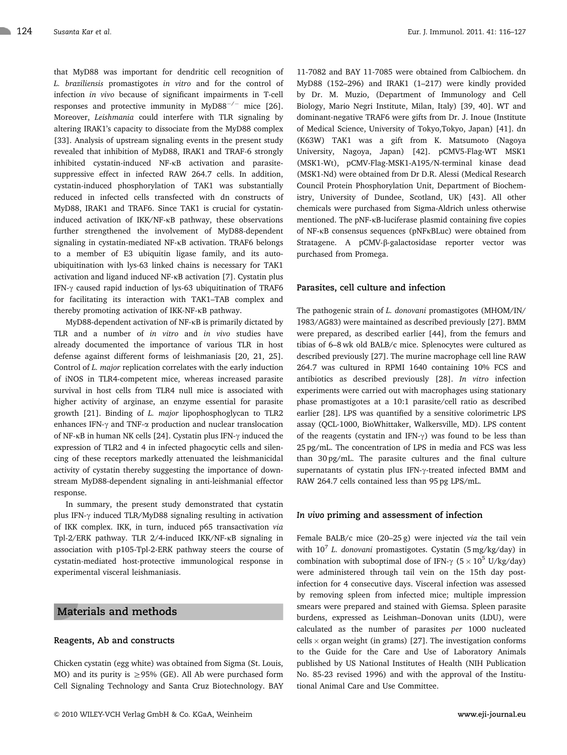that MyD88 was important for dendritic cell recognition of L. braziliensis promastigotes in vitro and for the control of infection in vivo because of significant impairments in T-cell responses and protective immunity in MyD88<sup>-/-</sup> mice [26]. Moreover, Leishmania could interfere with TLR signaling by altering IRAK1's capacity to dissociate from the MyD88 complex [33]. Analysis of upstream signaling events in the present study revealed that inhibition of MyD88, IRAK1 and TRAF-6 strongly inhibited cystatin-induced NF-kB activation and parasitesuppressive effect in infected RAW 264.7 cells. In addition, cystatin-induced phosphorylation of TAK1 was substantially reduced in infected cells transfected with dn constructs of

MyD88, IRAK1 and TRAF6. Since TAK1 is crucial for cystatininduced activation of IKK/NF-kB pathway, these observations further strengthened the involvement of MyD88-dependent signaling in cystatin-mediated NF-kB activation. TRAF6 belongs to a member of E3 ubiquitin ligase family, and its autoubiquitination with lys-63 linked chains is necessary for TAK1 activation and ligand induced NF-kB activation [7]. Cystatin plus IFN- $\gamma$  caused rapid induction of lys-63 ubiquitination of TRAF6 for facilitating its interaction with TAK1–TAB complex and thereby promoting activation of IKK-NF-kB pathway.

MyD88-dependent activation of NF-kB is primarily dictated by TLR and a number of in vitro and in vivo studies have already documented the importance of various TLR in host defense against different forms of leishmaniasis [20, 21, 25]. Control of L. major replication correlates with the early induction of iNOS in TLR4-competent mice, whereas increased parasite survival in host cells from TLR4 null mice is associated with higher activity of arginase, an enzyme essential for parasite growth [21]. Binding of L. major lipophosphoglycan to TLR2 enhances IFN- $\gamma$  and TNF- $\alpha$  production and nuclear translocation of NF- $\kappa$ B in human NK cells [24]. Cystatin plus IFN- $\gamma$  induced the expression of TLR2 and 4 in infected phagocytic cells and silencing of these receptors markedly attenuated the leishmanicidal activity of cystatin thereby suggesting the importance of downstream MyD88-dependent signaling in anti-leishmanial effector response.

In summary, the present study demonstrated that cystatin plus IFN- $\gamma$  induced TLR/MyD88 signaling resulting in activation of IKK complex. IKK, in turn, induced p65 transactivation via Tpl-2/ERK pathway. TLR 2/4-induced IKK/NF-kB signaling in association with p105-Tpl-2-ERK pathway steers the course of cystatin-mediated host-protective immunological response in experimental visceral leishmaniasis.

## Materials and methods

#### Reagents, Ab and constructs

Chicken cystatin (egg white) was obtained from Sigma (St. Louis, MO) and its purity is  $\geq$ 95% (GE). All Ab were purchased form Cell Signaling Technology and Santa Cruz Biotechnology. BAY 11-7082 and BAY 11-7085 were obtained from Calbiochem. dn MyD88 (152–296) and IRAK1 (1–217) were kindly provided by Dr. M. Muzio, (Department of Immunology and Cell Biology, Mario Negri Institute, Milan, Italy) [39, 40]. WT and dominant-negative TRAF6 were gifts from Dr. J. Inoue (Institute of Medical Science, University of Tokyo,Tokyo, Japan) [41]. dn (K63W) TAK1 was a gift from K. Matsumoto (Nagoya University, Nagoya, Japan) [42]. pCMV5-Flag-WT MSK1 (MSK1-Wt), pCMV-Flag-MSK1-A195/N-terminal kinase dead (MSK1-Nd) were obtained from Dr D.R. Alessi (Medical Research Council Protein Phosphorylation Unit, Department of Biochemistry, University of Dundee, Scotland, UK) [43]. All other chemicals were purchased from Sigma-Aldrich unless otherwise mentioned. The pNF-kB-luciferase plasmid containing five copies of NF-kB consensus sequences (pNFkBLuc) were obtained from Stratagene. A pCMV-ß-galactosidase reporter vector was purchased from Promega.

#### Parasites, cell culture and infection

The pathogenic strain of L. donovani promastigotes (MHOM/IN/ 1983/AG83) were maintained as described previously [27]. BMM were prepared, as described earlier [44], from the femurs and tibias of 6–8 wk old BALB/c mice. Splenocytes were cultured as described previously [27]. The murine macrophage cell line RAW 264.7 was cultured in RPMI 1640 containing 10% FCS and antibiotics as described previously [28]. In vitro infection experiments were carried out with macrophages using stationary phase promastigotes at a 10:1 parasite/cell ratio as described earlier [28]. LPS was quantified by a sensitive colorimetric LPS assay (QCL-1000, BioWhittaker, Walkersville, MD). LPS content of the reagents (cystatin and IFN- $\gamma$ ) was found to be less than 25 pg/mL. The concentration of LPS in media and FCS was less than 30 pg/mL. The parasite cultures and the final culture supernatants of cystatin plus IFN-y-treated infected BMM and RAW 264.7 cells contained less than 95 pg LPS/mL.

#### In vivo priming and assessment of infection

Female BALB/c mice (20–25 g) were injected via the tail vein with  $10^7$  L. donovani promastigotes. Cystatin (5 mg/kg/day) in combination with suboptimal dose of IFN- $\gamma$  (5  $\times$  10<sup>5</sup> U/kg/day) were administered through tail vein on the 15th day postinfection for 4 consecutive days. Visceral infection was assessed by removing spleen from infected mice; multiple impression smears were prepared and stained with Giemsa. Spleen parasite burdens, expressed as Leishman–Donovan units (LDU), were calculated as the number of parasites per 1000 nucleated cells  $\times$  organ weight (in grams) [27]. The investigation conforms to the Guide for the Care and Use of Laboratory Animals published by US National Institutes of Health (NIH Publication No. 85-23 revised 1996) and with the approval of the Institutional Animal Care and Use Committee.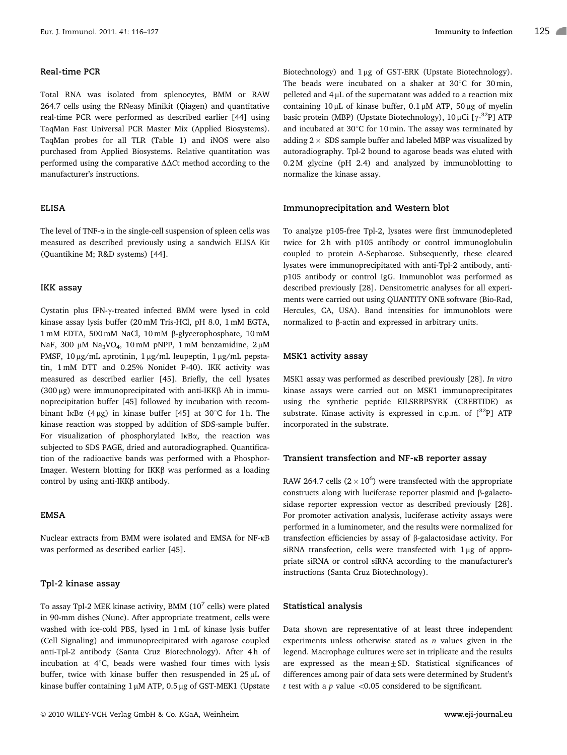## Real-time PCR

Total RNA was isolated from splenocytes, BMM or RAW 264.7 cells using the RNeasy Minikit (Qiagen) and quantitative real-time PCR were performed as described earlier [44] using TaqMan Fast Universal PCR Master Mix (Applied Biosystems). TaqMan probes for all TLR (Table 1) and iNOS were also purchased from Applied Biosystems. Relative quantitation was performed using the comparative  $\Delta\Delta$ Ct method according to the manufacturer's instructions.

## ELISA

The level of TNF- $\alpha$  in the single-cell suspension of spleen cells was measured as described previously using a sandwich ELISA Kit (Quantikine M; R&D systems) [44].

#### IKK assay

Cystatin plus IFN- $\gamma$ -treated infected BMM were lysed in cold kinase assay lysis buffer (20 mM Tris-HCl, pH 8.0, 1 mM EGTA, 1 mM EDTA, 500 mM NaCl, 10 mM β-glycerophosphate, 10 mM NaF, 300  $\mu$ M Na<sub>3</sub>VO<sub>4</sub>, 10 mM pNPP, 1 mM benzamidine, 2  $\mu$ M PMSF, 10 µg/mL aprotinin, 1 µg/mL leupeptin, 1 µg/mL pepstatin, 1 mM DTT and 0.25% Nonidet P-40). IKK activity was measured as described earlier [45]. Briefly, the cell lysates (300  $\mu$ g) were immunoprecipitated with anti-IKK $\beta$  Ab in immunoprecipitation buffer [45] followed by incubation with recombinant IkB $\alpha$  (4µg) in kinase buffer [45] at 30°C for 1h. The kinase reaction was stopped by addition of SDS-sample buffer. For visualization of phosphorylated IkBa, the reaction was subjected to SDS PAGE, dried and autoradiographed. Quantification of the radioactive bands was performed with a Phosphor-Imager. Western blotting for IKK $\beta$  was performed as a loading control by using anti-IKK $\beta$  antibody.

#### EMSA

Nuclear extracts from BMM were isolated and EMSA for NF-kB was performed as described earlier [45].

#### Tpl-2 kinase assay

To assay Tpl-2 MEK kinase activity, BMM (10 $^7$  cells) were plated in 90-mm dishes (Nunc). After appropriate treatment, cells were washed with ice-cold PBS, lysed in 1 mL of kinase lysis buffer (Cell Signaling) and immunoprecipitated with agarose coupled anti-Tpl-2 antibody (Santa Cruz Biotechnology). After 4h of incubation at  $4^{\circ}$ C, beads were washed four times with lysis buffer, twice with kinase buffer then resuspended in  $25 \mu L$  of kinase buffer containing  $1 \mu$ M ATP, 0.5  $\mu$ g of GST-MEK1 (Upstate

Biotechnology) and  $1\mu$ g of GST-ERK (Upstate Biotechnology). The beads were incubated on a shaker at  $30^{\circ}$ C for  $30$  min, pelleted and  $4 \mu$ L of the supernatant was added to a reaction mix containing  $10 \mu$ L of kinase buffer,  $0.1 \mu$ M ATP,  $50 \mu$ g of myelin basic protein (MBP) (Upstate Biotechnology), 10 µCi [ $\gamma$ -<sup>32</sup>P] ATP and incubated at  $30^{\circ}$ C for 10 min. The assay was terminated by adding  $2 \times$  SDS sample buffer and labeled MBP was visualized by autoradiography. Tpl-2 bound to agarose beads was eluted with 0.2 M glycine (pH 2.4) and analyzed by immunoblotting to normalize the kinase assay.

## Immunoprecipitation and Western blot

To analyze p105-free Tpl-2, lysates were first immunodepleted twice for 2h with p105 antibody or control immunoglobulin coupled to protein A-Sepharose. Subsequently, these cleared lysates were immunoprecipitated with anti-Tpl-2 antibody, antip105 antibody or control IgG. Immunoblot was performed as described previously [28]. Densitometric analyses for all experiments were carried out using QUANTITY ONE software (Bio-Rad, Hercules, CA, USA). Band intensities for immunoblots were normalized to  $\beta$ -actin and expressed in arbitrary units.

#### MSK1 activity assay

MSK1 assay was performed as described previously [28]. In vitro kinase assays were carried out on MSK1 immunoprecipitates using the synthetic peptide EILSRRPSYRK (CREBTIDE) as substrate. Kinase activity is expressed in c.p.m. of  $[^{32}P]$  ATP incorporated in the substrate.

#### Transient transfection and  $NF-\kappa B$  reporter assay

RAW 264.7 cells ( $2 \times 10^6$ ) were transfected with the appropriate constructs along with luciferase reporter plasmid and  $\beta$ -galactosidase reporter expression vector as described previously [28]. For promoter activation analysis, luciferase activity assays were performed in a luminometer, and the results were normalized for transfection efficiencies by assay of  $\beta$ -galactosidase activity. For siRNA transfection, cells were transfected with  $1 \mu$ g of appropriate siRNA or control siRNA according to the manufacturer's instructions (Santa Cruz Biotechnology).

#### Statistical analysis

Data shown are representative of at least three independent experiments unless otherwise stated as  $n$  values given in the legend. Macrophage cultures were set in triplicate and the results are expressed as the mean $\pm$ SD. Statistical significances of differences among pair of data sets were determined by Student's t test with a  $p$  value < 0.05 considered to be significant.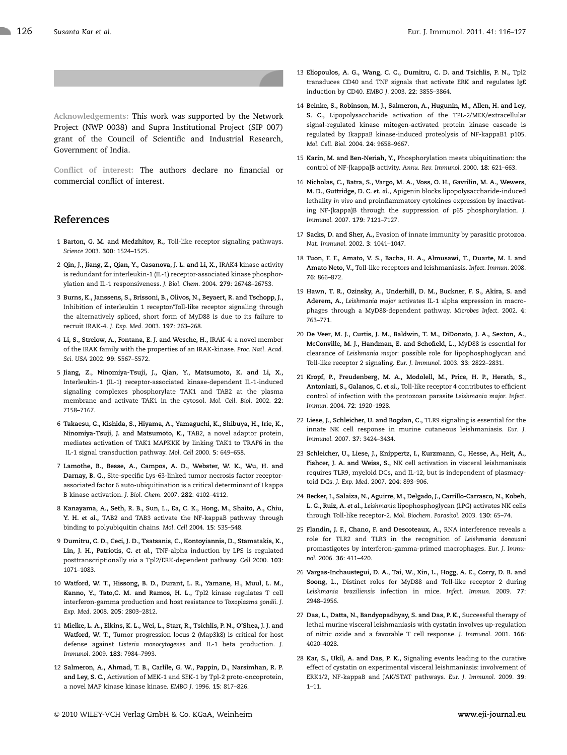Acknowledgements: This work was supported by the Network Project (NWP 0038) and Supra Institutional Project (SIP 007) grant of the Council of Scientific and Industrial Research, Government of India.

Conflict of interest: The authors declare no financial or commercial conflict of interest.

## References

- 1 Barton, G. M. and Medzhitov, R., Toll-like receptor signaling pathways. Science 2003. 300: 1524–1525.
- 2 Qin, J., Jiang, Z., Qian, Y., Casanova, J. L. and Li, X., IRAK4 kinase activity is redundant for interleukin-1 (IL-1) receptor-associated kinase phosphorylation and IL-1 responsiveness. J. Biol. Chem. 2004. 279: 26748–26753.
- 3 Burns, K., Janssens, S., Brissoni, B., Olivos, N., Beyaert, R. and Tschopp, J., Inhibition of interleukin 1 receptor/Toll-like receptor signaling through the alternatively spliced, short form of MyD88 is due to its failure to recruit IRAK-4. J. Exp. Med. 2003. 197: 263–268.
- 4 Li, S., Strelow, A., Fontana, E. J. and Wesche, H., IRAK-4: a novel member of the IRAK family with the properties of an IRAK-kinase. Proc. Natl. Acad. Sci. USA 2002. 99: 5567–5572.
- 5 Jiang, Z., Ninomiya-Tsuji, J., Qian, Y., Matsumoto, K. and Li, X., Interleukin-1 (IL-1) receptor-associated kinase-dependent IL-1-induced signaling complexes phosphorylate TAK1 and TAB2 at the plasma membrane and activate TAK1 in the cytosol. Mol. Cell. Biol. 2002. 22: 7158–7167.
- 6 Takaesu, G., Kishida, S., Hiyama, A., Yamaguchi, K., Shibuya, H., Irie, K., Ninomiya-Tsuji, J. and Matsumoto, K., TAB2, a novel adaptor protein, mediates activation of TAK1 MAPKKK by linking TAK1 to TRAF6 in the IL-1 signal transduction pathway. Mol. Cell 2000. 5: 649–658.
- 7 Lamothe, B., Besse, A., Campos, A. D., Webster, W. K., Wu, H. and Darnay, B. G., Site-specific Lys-63-linked tumor necrosis factor receptorassociated factor 6 auto-ubiquitination is a critical determinant of I kappa B kinase activation. J. Biol. Chem. 2007. 282: 4102–4112.
- 8 Kanayama, A., Seth, R. B., Sun, L., Ea, C. K., Hong, M., Shaito, A., Chiu, Y. H. et al., TAB2 and TAB3 activate the NF-kappaB pathway through binding to polyubiquitin chains. Mol. Cell 2004. 15: 535–548.
- 9 Dumitru, C. D., Ceci, J. D., Tsatsanis, C., Kontoyiannis, D., Stamatakis, K., Lin, J. H., Patriotis, C. et al., TNF-alpha induction by LPS is regulated posttranscriptionally via a Tpl2/ERK-dependent pathway. Cell 2000. 103: 1071–1083.
- 10 Watford, W. T., Hissong, B. D., Durant, L. R., Yamane, H., Muul, L. M., Kanno, Y., Tato,C. M. and Ramos, H. L., Tpl2 kinase regulates T cell interferon-gamma production and host resistance to Toxoplasma gondii. J. Exp. Med. 2008. 205: 2803–2812.
- 11 Mielke, L. A., Elkins, K. L., Wei, L., Starr, R., Tsichlis, P. N., O'Shea, J. J. and Watford, W. T., Tumor progression locus 2 (Map3k8) is critical for host defense against Listeria monocytogenes and IL-1 beta production. J. Immunol. 2009. 183: 7984–7993.
- 12 Salmeron, A., Ahmad, T. B., Carlile, G. W., Pappin, D., Narsimhan, R. P. and Ley, S. C., Activation of MEK-1 and SEK-1 by Tpl-2 proto-oncoprotein, a novel MAP kinase kinase kinase. EMBO J. 1996. 15: 817–826.
- 13 Eliopoulos, A. G., Wang, C. C., Dumitru, C. D. and Tsichlis, P. N., Tpl2 transduces CD40 and TNF signals that activate ERK and regulates IgE induction by CD40. EMBO J. 2003. 22: 3855–3864.
- 14 Beinke, S., Robinson, M. J., Salmeron, A., Hugunin, M., Allen, H. and Ley, S. C., Lipopolysaccharide activation of the TPL-2/MEK/extracellular signal-regulated kinase mitogen-activated protein kinase cascade is regulated by IkappaB kinase-induced proteolysis of NF-kappaB1 p105. Mol. Cell. Biol. 2004. 24: 9658–9667.
- 15 Karin, M. and Ben-Neriah, Y., Phosphorylation meets ubiquitination: the control of NF-[kappa]B activity. Annu. Rev. Immunol. 2000. 18: 621–663.
- 16 Nicholas, C., Batra, S., Vargo, M. A., Voss, O. H., Gavrilin, M. A., Wewers, M. D., Guttridge, D. C. et. al., Apigenin blocks lipopolysaccharide-induced lethality in vivo and proinflammatory cytokines expression by inactivating NF-{kappa}B through the suppression of p65 phosphorylation. J. Immunol. 2007. 179: 7121–7127.
- 17 Sacks, D. and Sher, A., Evasion of innate immunity by parasitic protozoa. Nat. Immunol. 2002. 3: 1041–1047.
- 18 Tuon, F. F., Amato, V. S., Bacha, H. A., Almusawi, T., Duarte, M. I. and Amato Neto, V., Toll-like receptors and leishmaniasis. Infect. Immun. 2008. 76: 866–872.
- 19 Hawn, T. R., Ozinsky, A., Underhill, D. M., Buckner, F. S., Akira, S. and Aderem, A., Leishmania major activates IL-1 alpha expression in macrophages through a MyD88-dependent pathway. Microbes Infect. 2002. 4: 763–771.
- 20 De Veer, M. J., Curtis, J. M., Baldwin, T. M., DiDonato, J. A., Sexton, A., McConville, M. J., Handman, E. and Schofield, L., MyD88 is essential for clearance of Leishmania major: possible role for lipophosphoglycan and Toll-like receptor 2 signaling. Eur. J. Immunol. 2003. 33: 2822–2831.
- 21 Kropf, P., Freudenberg, M. A., Modolell, M., Price, H. P., Herath, S., Antoniazi, S., Galanos, C. et al., Toll-like receptor 4 contributes to efficient control of infection with the protozoan parasite Leishmania major. Infect. Immun. 2004. 72: 1920–1928.
- 22 Liese, J., Schleicher, U. and Bogdan, C., TLR9 signaling is essential for the innate NK cell response in murine cutaneous leishmaniasis. Eur. J. Immunol. 2007. 37: 3424–3434.
- 23 Schleicher, U., Liese, J., Knippertz, I., Kurzmann, C., Hesse, A., Heit, A., Fishcer, J. A. and Weiss, S., NK cell activation in visceral leishmaniasis requires TLR9, myeloid DCs, and IL-12, but is independent of plasmacytoid DCs. J. Exp. Med. 2007. 204: 893–906.
- 24 Becker, I., Salaiza, N., Aguirre, M., Delgado, J., Carrillo-Carrasco, N., Kobeh, L. G., Ruiz, A. et al., Leishmania lipophosphoglycan (LPG) activates NK cells through Toll-like receptor-2. Mol. Biochem. Parasitol. 2003. 130: 65–74.
- 25 Flandin, J. F., Chano, F. and Descoteaux, A., RNA interference reveals a role for TLR2 and TLR3 in the recognition of Leishmania donovani promastigotes by interferon-gamma-primed macrophages. Eur. J. Immunol. 2006. 36: 411–420.
- 26 Vargas-Inchaustegui, D. A., Tai, W., Xin, L., Hogg, A. E., Corry, D. B. and Soong, L., Distinct roles for MyD88 and Toll-like receptor 2 during Leishmania braziliensis infection in mice. Infect. Immun. 2009. 77: 2948–2956.
- 27 Das, L., Datta, N., Bandyopadhyay, S. and Das, P. K., Successful therapy of lethal murine visceral leishmaniasis with cystatin involves up-regulation of nitric oxide and a favorable T cell response. J. Immunol. 2001. 166: 4020–4028.
- 28 Kar, S., Ukil, A. and Das, P. K., Signaling events leading to the curative effect of cystatin on experimental visceral leishmaniasis: involvement of ERK1/2, NF-kappaB and JAK/STAT pathways. Eur. J. Immunol. 2009. 39: 1–11.